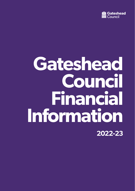

# **Gateshead Council Financial Information 2022-23**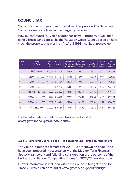#### **COUNCIL TAX**

Council Tax helps to pay towards local services provided by Gateshead Council as well as policing and emergency services.

How much Council Tax you pay depends on your property's 'valuation band'. These bands are set by the Valuation Office Agency based on how much the property was worth on 1st April 1991 – not its current value.

| <b>Valuation</b><br><b>Band</b> | Property<br>Price Range | Propn of<br><b>Band D</b><br>Level | Gateshead<br>Council   | Police & Crime<br>Commissioner<br>for Northumbria | Tyne & Wear<br><b>Fire and Rescue</b><br>Authority | <b>Total</b><br><b>Council Tax</b><br>(Excl. Parishes) | Lamesley<br>Parish<br>Council | <b>Total</b><br><b>Council Tax</b><br>Lamesley |
|---------------------------------|-------------------------|------------------------------------|------------------------|---------------------------------------------------|----------------------------------------------------|--------------------------------------------------------|-------------------------------|------------------------------------------------|
| A                               | <b>UP TO £40,000</b>    | 0.6667                             | 1,314.79               | 102.56                                            | 58.23                                              | 1,475.58                                               | 6.85                          | 1,482.43                                       |
| B                               | £40,001 - £52,000       |                                    | $0.7778$ : 1.533.91    | 119.65                                            | 67.94                                              | 1,721.50                                               | 7.99                          | 1,729.49                                       |
| C                               | £52,001 - £68,000       | 0.8889                             | 1,753.04               | 136.75                                            | 77.64                                              | 1,967.43                                               | 9.13                          | 1,976.56                                       |
| D                               | £68,001 - £88,000       |                                    | 1.0000 1.972.17        | 153.84                                            | 87.35                                              | 2.213.36                                               | 10.27                         | 2.223.63                                       |
| E                               | £88,001 - £120,000      |                                    | $1.2222 \div 2.410.44$ | 188.03                                            | 106.76                                             | 2.705.23                                               | 12.55                         | 2,717.78                                       |
| F                               | £120,001 - £160,000     |                                    | 1.4444 2.848.70        | 222.21                                            | 126.17                                             | 3,197.08                                               | 14.83                         | 3.211.91                                       |
| G                               | £160,001 - £320,000     | 1.6667                             | 3.286.96               | 256.40                                            | 145.58                                             | 3,688.94                                               | 17.12                         | 3,706.06                                       |
| Н                               | <b>OVER £320,000</b>    | 2.0000                             | $\frac{1}{2}$ 3.944.34 | 307.68                                            | 174.70                                             | 4,426.72                                               | 20.54                         | 4,447.26                                       |

Further information about Council Tax can be found at **www.gateshead.gov.uk/counciltax**

#### **ACCOUNTING AND OTHER FINANCIAL INFORMATION**

The Council's budget estimates for 2022-23 are shown on page 3 and have been prepared in accordance with the Medium Term Financial Strategy framework and following consideration of the outcome of the budget consultation. Comparative figures for 2021/22 are also shown.

Further information is included within the Council's budget report for 2022-23 which can be found at www.gateshead.gov.uk/budget.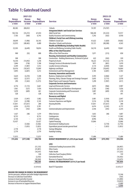## **Table 1: Gateshead Council**

|                                      | 2021/22               |                                                  |                                                           |                                      | 2022-23                                |                                           |
|--------------------------------------|-----------------------|--------------------------------------------------|-----------------------------------------------------------|--------------------------------------|----------------------------------------|-------------------------------------------|
| Gross<br><b>Expenditure</b><br>£'000 | <b>Gross</b><br>£'000 | <b>Net</b><br><b>Income Expenditure</b><br>£'000 | <b>Service</b>                                            | Gross<br><b>Expenditure</b><br>£'000 | <b>Gross</b><br><b>Income</b><br>£'000 | <b>Net</b><br><b>Expenditure</b><br>£'000 |
| 80,382                               | (80, 832)             |                                                  | Schools                                                   | 74,707                               | (74, 707)                              |                                           |
|                                      |                       |                                                  | <b>Integrated Adults' and Social Care Services</b>        |                                      |                                        |                                           |
| 102,726                              | (35,272)              | 67,454                                           | <b>Adult Social Care</b>                                  | 108,240                              | (35, 323)                              | 72.917                                    |
| 7,105                                | (360)                 | 6,745                                            | <b>Quality Assurance and Commissioning</b>                | 7,292                                | (362)                                  | 6,930                                     |
|                                      |                       |                                                  | <b>Children's Social Care and Lifelong Learning</b>       |                                      |                                        |                                           |
| 38,049                               | (1,906)               | 36,143                                           | Children's Social Care                                    | 41,622                               | (1,820)                                | 39,802                                    |
| 52,953                               | (48, 465)             | 4,488                                            | <b>Education, Schools and Inclusion</b>                   | 53,151                               | (48, 588)                              | 4,563                                     |
|                                      |                       |                                                  | Health and Wellbeing (including Public Health)            |                                      |                                        |                                           |
| 25,503                               | (6,649)               | 18,854                                           | Health and Wellbeing (including Public Health)            | 26,510                               | (6, 649)                               | 19,861                                    |
|                                      |                       |                                                  | <b>Office of the Chief Executive</b>                      |                                      |                                        |                                           |
| 900                                  | (92)                  | 808                                              | Office of the Chief Executive                             | 1,071                                | (213)                                  | 858                                       |
|                                      |                       |                                                  | <b>Housing, Environment and Healthy Communities</b>       |                                      |                                        |                                           |
| 308                                  |                       | 308                                              | Construction - Building Maintenance, Technical & Cyclical | 622                                  | (302)                                  | 320                                       |
| 16,350                               | (15,092)              | 1,258                                            | Property & Assets                                         | 18,222                               | (15, 512)                              | 2,710                                     |
| 1,846                                | (738)                 | 1,108                                            | Strategic Services & Residential Growth                   | 1871                                 | (801)                                  | 1,070                                     |
| 3,399                                | (1,987)               | 1,412                                            | Locality Services & Housing                               | 3,114                                | (2,050)                                | 1,064                                     |
| 26,416                               | (10, 567)             | 15,849                                           | <b>Highways and Waste</b>                                 | 27,509                               | (10, 645)                              | 16,864                                    |
| 5,893                                | (2,681)               | 3,212                                            | <b>Environment and Fleet Management</b>                   | 5,183                                | (2,681)                                | 2,502                                     |
|                                      |                       |                                                  | <b>Economy, Innovation and Growth</b>                     |                                      |                                        |                                           |
| 3,624                                | (2,276)               | 1,348                                            | <b>Business, Employment and Skills</b>                    | 3,393                                | (2,066)                                | 1,327                                     |
| 4,832                                | (2, 557)              | 2,275                                            | Planning, Policy, Climate Change and Strategic Transport  | 5,693                                | (2,715)                                | 2,978                                     |
| 290                                  | (1, 563)              | (1,273)                                          | <b>Major Projects and Corporate Property</b>              | 1,290                                | (1,907)                                | (617)                                     |
|                                      |                       |                                                  | <b>Corporate Services and Governance</b>                  |                                      |                                        |                                           |
| 4,776                                | (1, 115)              | 3,661                                            | <b>Legal and Democratic Services</b>                      | 4,873                                | (966)                                  | 3,907                                     |
| 1,961                                | (527)                 | 1,434                                            | Human Resources and Workforce Development                 | 2,182                                | (546)                                  | 1,636                                     |
| 1,070                                | (609)                 | 461                                              | Corporate Commissioning and Procurement                   | 1,087                                | (609)                                  | 478                                       |
| 528                                  |                       | 528                                              | <b>Public Service Reform</b>                              | 391                                  |                                        | 391                                       |
|                                      |                       |                                                  | <b>Resources and Digital</b>                              |                                      |                                        |                                           |
| 3,929                                | (1, 947)              | 1,982                                            | <b>Financial Management</b>                               | 3,981                                | (1,934)                                | 2,047                                     |
| 5,541                                | (2, 398)              | 3,143                                            | <b>Customer Experience and Digital</b>                    | 5,516                                | (2, 198)                               | 3,318                                     |
| 51,851                               | (51, 651)             | 200                                              | <b>Housing Benefits</b>                                   | 51,851                               | (51,651)                               | 200                                       |
| 6,034                                | (2,253)               | 3,781                                            | IT                                                        | 6,414                                | (2, 242)                               | 4,172                                     |
| 3,144                                | (342)                 | 2,802                                            | Commercialisation and Improvement                         | 2,546                                | (292)                                  | 2,254                                     |
|                                      |                       |                                                  |                                                           |                                      |                                        |                                           |
| 1,427                                | (48)                  | 1,379                                            | <b>Other Services</b>                                     | 1,855                                | (48)                                   | 1,807                                     |
| 8,752                                |                       | 8,752                                            | Contingencies                                             | 11,962                               |                                        | 11,962                                    |
| 6,130                                |                       | 6,130                                            | <b>COVID Funding</b>                                      | 8,996                                |                                        | 8,996                                     |
| 33,427                               |                       | 33,427                                           | Capital Financing                                         | 33,866                               |                                        | 33,866                                    |
|                                      | (3, 566)              | (3, 566)                                         | <b>Investment &amp; Trading Income</b>                    |                                      | (3,710)                                | (3,710)                                   |
|                                      | (1,855)               | (1,855)                                          | Expenditure passed outside general fund                   | ÷,                                   | (1,855)                                | (1, 855)                                  |
| 2,718                                |                       | 2,718                                            | <b>Savings Mitigation</b>                                 |                                      |                                        |                                           |
| 2,779                                |                       | 2,779                                            | Hardship Funding                                          | ÷,                                   |                                        |                                           |
| 11,013                               |                       | 11,013                                           | Levies                                                    | 11,686                               |                                        | 11,686                                    |
| 515,656                              | (277, 348)            | 238,758                                          | BUDGET REQUIREMENT (£1,259.24 per head)                   | 526,696                              | (272, 392)                             | 254,304                                   |
|                                      |                       |                                                  | LESS                                                      |                                      |                                        |                                           |
|                                      |                       | (51, 135)                                        | Settlement Funding Assessment (SFA)                       |                                      |                                        | (56,907)                                  |
|                                      |                       | (41, 801)                                        | <b>Other Grants</b>                                       |                                      |                                        | (47, 235)                                 |
|                                      |                       |                                                  | <b>Public Health</b>                                      |                                      |                                        |                                           |
|                                      |                       | (16, 541)                                        | Collection Fund (Surplus)/Deficit                         |                                      |                                        | (17, 225)<br>159                          |
|                                      |                       | 328                                              |                                                           |                                      |                                        |                                           |
|                                      |                       | (2, 542)                                         | <b>Earmarked Reserves</b>                                 |                                      |                                        | (16, 565)                                 |
|                                      |                       | (26, 564)                                        | <b>Reserves to Support Retained Rates</b>                 |                                      |                                        | (12, 675)                                 |
|                                      |                       | 100,503                                          | COUNCIL TAX REQUIREMENT (£514.27 per head)                |                                      |                                        | 103,856                                   |
|                                      |                       | £1,914.92                                        | Band "D" Equivalent                                       |                                      |                                        | £1,972.17                                 |
|                                      |                       |                                                  |                                                           |                                      |                                        |                                           |

| <b>REASON FOR CHANGE IN COUNCIL TAX REQUIREMENT</b>       |          |
|-----------------------------------------------------------|----------|
| Service pressures, inflation and other budget adjustments | 15,546   |
| Decrease in Collection Fund Deficit                       | (169)    |
| Increase in Grant and other Income                        | (11.890) |
| Increase in use of Earmarked Reserves                     | (14.023) |
| Decrease in Reserves to Support Retained Rates            | 13,889   |
|                                                           | 3,353    |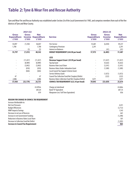# **Table 2: Tyne & Wear Fire and Rescue Authority**

Tyne and Wear Fire and Rescue Authority was established under Section 26 of the Local Government Act 1985, and comprises members from each of the five districts of Tyne and Wear County.

|                                             | 2021/22                                |                                           |                                                             |                                             | 2022-23                         |                                           |
|---------------------------------------------|----------------------------------------|-------------------------------------------|-------------------------------------------------------------|---------------------------------------------|---------------------------------|-------------------------------------------|
| <b>Gross</b><br><b>Expenditure</b><br>£'000 | <b>Gross</b><br><b>Income</b><br>£'000 | <b>Net</b><br><b>Expenditure</b><br>£'000 | <b>Service</b>                                              | <b>Gross</b><br><b>Expenditure</b><br>£'000 | <b>Gross</b><br>Income<br>£'000 | <b>Net</b><br><b>Expenditure</b><br>£'000 |
| 54,097                                      | (7,250)                                | 46,847                                    | <b>Fire Service</b>                                         | 55,681                                      | (6, 444)                        | 49,237                                    |
| 1,700                                       |                                        | 1,700                                     | <b>Contingency Provision</b>                                | 2,291                                       |                                 | 2,291                                     |
| ٠                                           | (5)                                    | (5)                                       | Interest on Balances                                        |                                             | (41)                            | (41)                                      |
| 55,797                                      | (7, 255)                               | 48,542                                    | <b>BUDGET REQUIREMENT (£44.90 per head)</b>                 | 57,972                                      | (6, 485)                        | 51,487                                    |
|                                             |                                        |                                           | <b>LESS</b>                                                 |                                             |                                 |                                           |
| $\overline{\phantom{a}}$                    | (11, 457)                              | (11, 457)                                 | Revenue Support Grant (£9.99 per head)                      | ٠                                           | (11, 457)                       | (11, 457)                                 |
| ٠                                           | (8,989)                                | (8,989)                                   | <b>Top Up Grant</b>                                         |                                             | (9,263)                         | (9,263)                                   |
| ٠                                           | (3,842)                                | (3,842)                                   | <b>Business Rate Local Share</b>                            | ٠                                           | (3, 341)                        | (3, 341)                                  |
|                                             | (810)                                  | (810)                                     | <b>Business Rates Under-Indexation Grant</b>                |                                             | (1, 589)                        | (1, 589)                                  |
|                                             | (826)                                  | (826)                                     | Local Council Tax Support Scheme Grant                      |                                             |                                 |                                           |
| ٠                                           |                                        |                                           | Service Delivery Grant                                      |                                             | (1,072)                         | (1,072)                                   |
| 47                                          |                                        | 47                                        | Council Tax Collection Fund Net (Surplus)/Deficit           |                                             | (222)                           | (222)                                     |
| 2.086                                       |                                        | 2,086                                     | <b>Business Rates Collection Fund Net (Surplus)/Deficit</b> | 1,071                                       |                                 | 1,071                                     |
| 57,930                                      | (33, 179)                              | 24,751                                    | COUNCIL TAX REQUIREMENT (£22.34 per head)                   | 59,043                                      | (33, 429)                       | 25,614                                    |
|                                             |                                        | £4.495m                                   | Charge on Gateshead                                         |                                             |                                 | £4.60m                                    |
|                                             |                                        | £85.64                                    | Band "D" Equivalent                                         |                                             |                                 | £87.35                                    |
|                                             |                                        | 819                                       | Manpower (est. Full Time Equivalent)                        |                                             |                                 | 856                                       |

#### **REASON FOR CHANGE IN COUNCIL TAX REQUIREMENT**

| Increase Attributable to:                      |                 |
|------------------------------------------------|-----------------|
| Net Cost Pressures                             | 4.451           |
| <b>Budget Efficiencies</b>                     | (3,712)         |
| <b>IRMP Impacts/Savings</b>                    | 1.543           |
| Decrease in net use of Reserves                | 661             |
| Increase in net Government Funding             | (1,298)         |
| <b>Reduction in Business Rates Local Share</b> | 501             |
| Decrease in Collection Fund Net Deficit        | (1,283)         |
| Increase in Council Tax Requirement            | $\frac{863}{2}$ |
|                                                |                 |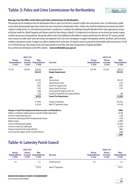## **Table 3: Police and Crime Commissioner for Northumbria**



#### **Message from the Office of the Police and Crime Commissioner for Northumbria**

This precept sets the funding increase for Northumbria Police in order to let the force continue to fight crime and prevent crime. It is informed by a public survey which showed people agree there needs to be more investment in Northumbria Police. I believe this should be funded by Government, but while I continue to lobby for this, it is clear that local investment is needed now. To address the challenges facing Northumbria Police I have approved an increase od 83p per month for a Band D property and 56p per month for those living in a Band A. It is important to me that you can see where your money is going to adress the pressures facing policing. The precept will be used to fund additional call handlers to improve performance for 999 and 101 services, provide extra resources to tackle cyber-crime and serious and organised crime, hire more investigators to support investigations and free up officers, and to increase workforce investment in order to support our officers and keep them on the beat. The Band D council tax precept for Northumbria will increase from £143.84 to £153.84 for the year. This remains, by far, the lowest precept of any Police and Crime Commissioner in England and Wales. You can find more information on the OPCC website - **www.northumbria-pcc.gov.uk**

|                                                    | 2021/22               |                                                                       |                                                |                                             | 2022-23                                |                                           |
|----------------------------------------------------|-----------------------|-----------------------------------------------------------------------|------------------------------------------------|---------------------------------------------|----------------------------------------|-------------------------------------------|
| <b>Gross</b><br><b>Expenditure</b><br>£'000        | <b>Gross</b><br>£'000 | <b>Net</b><br><b>Income Expenditure</b><br>£'000                      | <b>Service</b>                                 | <b>Gross</b><br><b>Expenditure</b><br>£'000 | <b>Gross</b><br><b>Income</b><br>£'000 | <b>Net</b><br><b>Expenditure</b><br>£'000 |
| 337,236                                            | (16,993)              | 320,243                                                               | Northumbria Police                             | 363,594                                     | (24,262)                               | 339,332                                   |
|                                                    |                       | 320,243                                                               | <b>Budget Requirement</b>                      |                                             |                                        | 339,332                                   |
|                                                    |                       |                                                                       | <b>LESS</b>                                    |                                             |                                        |                                           |
|                                                    |                       | 250,183                                                               | Formula Grant                                  |                                             |                                        | 265,227                                   |
|                                                    |                       | 3,423                                                                 | <b>Special Pension Grant</b>                   |                                             |                                        | 3,423                                     |
|                                                    |                       | 6,867                                                                 | <b>Council Tax Support Grant</b>               |                                             |                                        | 6,867                                     |
|                                                    |                       | 1,301                                                                 | <b>Legacy Council Tax Grants</b>               |                                             |                                        | 1,301                                     |
|                                                    |                       | 1,686                                                                 | Local Council Tax Support (Covid-19)           |                                             |                                        |                                           |
|                                                    |                       | (170)                                                                 | Constituent Authorities' Net Surplus/(Deficit) |                                             |                                        | 694                                       |
|                                                    |                       | 56,953                                                                | <b>Council Tax Requirement</b>                 |                                             |                                        | 61,820                                    |
|                                                    |                       | £7.549m                                                               | Charge on Gateshead                            |                                             |                                        | £8.101m                                   |
|                                                    |                       | £143.84                                                               | Band "D" Equivalent Charge                     |                                             |                                        | £153.84                                   |
|                                                    |                       | Change in Council Tax Requirement between years is attributable to:   |                                                |                                             |                                        | £000s                                     |
|                                                    |                       | Inflation, recruitment, budget pressures and other budget adjustments |                                                |                                             |                                        | 20,449                                    |
| Increase in capital financing costs                |                       |                                                                       |                                                |                                             |                                        | 1,500                                     |
|                                                    |                       | Investment in policing provided through precept increase              |                                                |                                             |                                        | 4,018                                     |
| <b>Budget savings</b>                              |                       |                                                                       |                                                |                                             |                                        | (5,800)                                   |
| Increase in formula grant funding                  |                       |                                                                       |                                                |                                             |                                        | (15,044)                                  |
| Increase in ring-fences Uplift grant               |                       |                                                                       |                                                |                                             |                                        | (1,078)                                   |
| Change in Council Tax Net Surplus/(Deficit)        |                       |                                                                       |                                                |                                             |                                        | (864)                                     |
| Local Council Tax Support (Covid-19) grant removed |                       |                                                                       |                                                |                                             |                                        | 1,686                                     |
|                                                    |                       |                                                                       |                                                |                                             |                                        | 4,867                                     |

#### **Table 4: Lamesley Parish Council**

| 2021/22                                                        |                          |                     |                         | 2022-23                                                                                                              |  |
|----------------------------------------------------------------|--------------------------|---------------------|-------------------------|----------------------------------------------------------------------------------------------------------------------|--|
| <b>Gross</b><br><b>Expenditure</b> Income Expenditure<br>£'000 | <b>Gross</b><br>£'000    | <b>Net</b><br>£'000 | <b>Service</b>          | <b>Net</b><br>Gross<br>Gross<br><b>Expenditure</b><br><b>Expenditure</b><br><b>Income</b><br>£'000<br>£'000<br>£'000 |  |
| 12.1                                                           | $\overline{\phantom{a}}$ | 12.1                | <b>General Services</b> | 12.5<br>12.5<br>۰                                                                                                    |  |
|                                                                |                          | £10.10              | Band"D" Equivalent      | £10.27                                                                                                               |  |

Service pressures and Inflation 0.4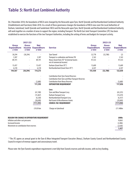## **Table 5: North East Combined Authority**

On 2 November 2018, the boundaries of NECA were changed by the Newcastle upon Tyne, North Tyneside and Northumberland Combined Authority (Establishment and Functions) Order 2018. As a result of these governance changes the boundaries of NECA now cover the Local Authorities of Durham, Gateshead, South Tyneside and Sunderland. NECA and the Newcastle upon Tyne, North Tyneside and Northumberland Combined Authority will work together on a number of areas to support the region, including Transport. The North East Joint Transport Committee (JTC) has been established to exercise the functions of the two Transport Authorities, including the setting of levies and budgets for transport activity.

| 2021/22                              |                       |                                                     | 2022-23                                                                 |                                             |                                        |                                           |  |  |
|--------------------------------------|-----------------------|-----------------------------------------------------|-------------------------------------------------------------------------|---------------------------------------------|----------------------------------------|-------------------------------------------|--|--|
| Gross<br><b>Expenditure</b><br>£'000 | <b>Gross</b><br>£'000 | <b>Net</b><br><b>Income Expenditure</b><br>£'000    | <b>Service</b>                                                          | <b>Gross</b><br><b>Expenditure</b><br>£'000 | <b>Gross</b><br><b>Income</b><br>£'000 | <b>Net</b><br><b>Expenditure</b><br>£'000 |  |  |
| 30,294                               | (30, 294)             |                                                     | <b>Tyne Tunnel</b>                                                      | 32,778                                      | (32,780)                               | (2)                                       |  |  |
| 3,307                                |                       | 3,307                                               | Transport co-ordination and former ITA                                  | 3,163                                       |                                        | 3,163                                     |  |  |
| 89,191                               | ٠                     | 89,191                                              | Nexus (Grant from JTC* & External Grants -<br>net of commercial income) | 97,533                                      |                                        | 97,533                                    |  |  |
| 15,457                               |                       | 15,457                                              | Durham (Grant from JTC*)                                                | 15,609                                      |                                        | 15,609                                    |  |  |
| 6,318                                |                       | 6,318                                               | Northumberland (Grant from JTC*)                                        | 6,347                                       |                                        | 6,347                                     |  |  |
| 144,567                              | (30, 294)             | 114,273                                             |                                                                         | 155,430                                     | (32,780)                               | 122,650                                   |  |  |
|                                      |                       |                                                     | <b>Contribution from Tyne Tunnel Reserves</b>                           |                                             |                                        |                                           |  |  |
|                                      |                       |                                                     | Contribution from Tyne and Wear Transport Reserves                      |                                             |                                        |                                           |  |  |
|                                      |                       | (2,680)                                             | <b>Contribution from Nexus Reserves</b>                                 |                                             |                                        | (5,600)                                   |  |  |
|                                      |                       | 111,593                                             | <b>EXPENDITURE REQUIREMENT</b>                                          |                                             |                                        | 117,050                                   |  |  |
|                                      |                       |                                                     | Less:                                                                   |                                             |                                        |                                           |  |  |
|                                      |                       | (61, 100)                                           | <b>Tyne and Wear Transport Levy</b>                                     |                                             |                                        | (65, 225)                                 |  |  |
|                                      |                       | (15, 467)                                           | <b>Durham Transport Levy</b>                                            |                                             |                                        | (15,619)                                  |  |  |
|                                      |                       | (6, 328)                                            | Northumberland Transport Levy                                           |                                             |                                        | (6, 357)                                  |  |  |
|                                      |                       | (28, 698)                                           | Rail Grants & Miscellaneous Grants                                      |                                             |                                        | (29, 849)                                 |  |  |
|                                      |                       | (111, 593)                                          | <b>COUNCIL TAX REQUIREMENT</b>                                          |                                             |                                        | (117, 050)                                |  |  |
|                                      |                       | £10.816m                                            | Charge on Gateshead                                                     |                                             |                                        | £11.488m                                  |  |  |
|                                      |                       | <b>REASON FOR CHANGE IN EXPENDITURE REQUIREMENT</b> |                                                                         |                                             |                                        | £000s                                     |  |  |
| Inflation and other cost pressures   |                       |                                                     |                                                                         |                                             |                                        | 10,863                                    |  |  |
|                                      |                       |                                                     |                                                                         |                                             |                                        |                                           |  |  |

| iniiation and other cost pressures     | 10,803   |
|----------------------------------------|----------|
| Increased income                       | (2, 486) |
| Movement on contribution from reserves | (2,920)  |
|                                        | 5,457    |

 \* The JTC agrees an annual grant to the Tyne & Wear Integrated Transport Executive (Nexus), Durham County Council and Northumberland County Council in respect of revenue support and concessionary travel.

Please note: the Tyne Tunnels expenditure requirement is met fully from Tunnels reserves and tolls income, with no levy funding.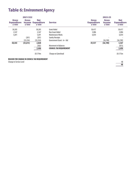# **Table 6: Environment Agency**

| 2021/222                                    |                                 |                                              |                                |                                             | 2022-23                                |                                           |
|---------------------------------------------|---------------------------------|----------------------------------------------|--------------------------------|---------------------------------------------|----------------------------------------|-------------------------------------------|
| <b>Gross</b><br><b>Expenditure</b><br>£'000 | Gross<br><b>Income</b><br>£'000 | <b>Net</b><br><b>Expenditure</b><br>£'000    | <b>Service</b>                 | <b>Gross</b><br><b>Expenditure</b><br>£'000 | <b>Gross</b><br><b>Income</b><br>£'000 | <b>Net</b><br><b>Expenditure</b><br>£'000 |
| 30,205                                      |                                 | 30,205                                       | <b>Grant Aided</b>             | 30,417                                      |                                        | 30,417                                    |
| 2,547                                       |                                 | 2,547                                        | Non Grant Aided                | 3,086                                       |                                        | 3,086                                     |
| 5,691                                       |                                 | 5,691                                        | <b>Maintenance Works</b>       | 6,054                                       |                                        | 6,054                                     |
|                                             | (281)                           | (281)                                        | <b>Sundry Receipts</b>         |                                             |                                        |                                           |
|                                             | (35, 334)                       | (35, 334)                                    | Government Grant - in - Aid    |                                             | (36, 190)                              | (36, 190)                                 |
| 38,443                                      | (35, 615)                       | 2,828                                        |                                | 39,557                                      | (36, 190)                              | 3,367                                     |
|                                             |                                 | (382)                                        | <b>Movement in Balances</b>    |                                             |                                        | (873)                                     |
|                                             |                                 | 2,446                                        | <b>COUNCIL TAX REQUIREMENT</b> |                                             |                                        | 2,494                                     |
|                                             |                                 | £0.174m                                      | Charge on Gateshead            |                                             |                                        | £0.175m                                   |
|                                             |                                 | REASON FOR CHANGE IN COUNCIL TAX REQUIREMENT |                                |                                             |                                        |                                           |
| Change in Service Level                     |                                 |                                              |                                |                                             |                                        | 48                                        |
|                                             |                                 |                                              |                                |                                             |                                        | 48                                        |